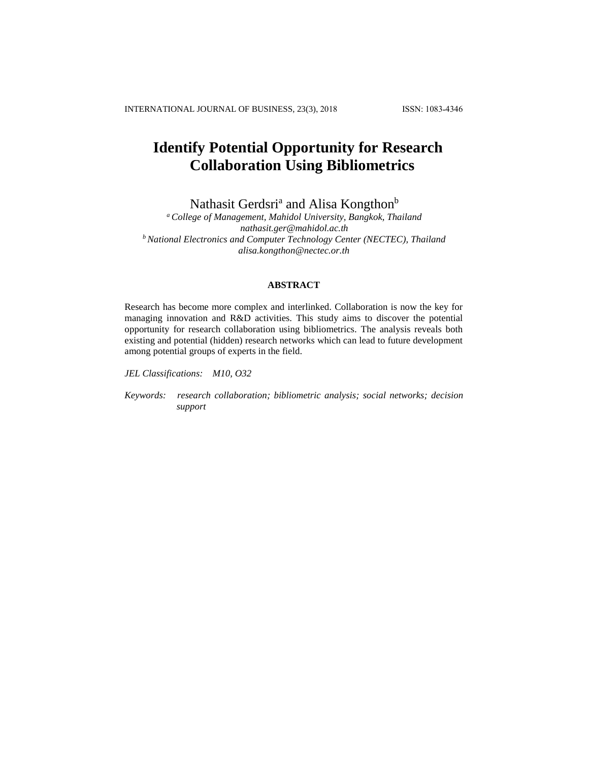# **Identify Potential Opportunity for Research Collaboration Using Bibliometrics**

Nathasit Gerdsri<sup>a</sup> and Alisa Kongthon<sup>b</sup>

*<sup>a</sup> College of Management, Mahidol University, Bangkok, Thailand [nathasit.ger@mahidol.ac.th](mailto:nathasit.ger@mahidol.ac.th) <sup>b</sup> National Electronics and Computer Technology Center (NECTEC), Thailand [alisa.kongthon@nectec.or.th](mailto:alisa.kongthon@nectec.or.th)*

# **ABSTRACT**

Research has become more complex and interlinked. Collaboration is now the key for managing innovation and R&D activities. This study aims to discover the potential opportunity for research collaboration using bibliometrics. The analysis reveals both existing and potential (hidden) research networks which can lead to future development among potential groups of experts in the field.

*JEL Classifications: M10, O32*

*Keywords: research collaboration; bibliometric analysis; social networks; decision support*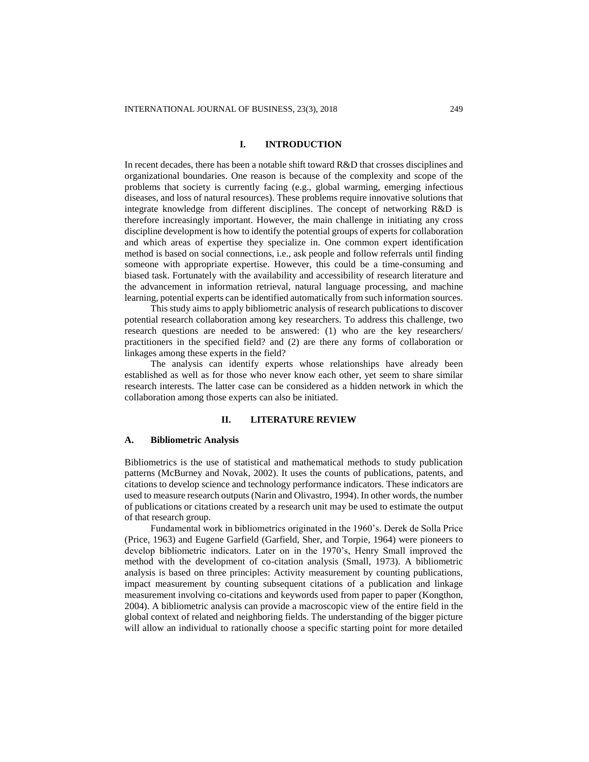#### **I. INTRODUCTION**

In recent decades, there has been a notable shift toward R&D that crosses disciplines and organizational boundaries. One reason is because of the complexity and scope of the problems that society is currently facing (e.g., global warming, emerging infectious diseases, and loss of natural resources). These problems require innovative solutions that integrate knowledge from different disciplines. The concept of networking R&D is therefore increasingly important. However, the main challenge in initiating any cross discipline development is how to identify the potential groups of experts for collaboration and which areas of expertise they specialize in. One common expert identification method is based on social connections, i.e., ask people and follow referrals until finding someone with appropriate expertise. However, this could be a time-consuming and biased task. Fortunately with the availability and accessibility of research literature and the advancement in information retrieval, natural language processing, and machine learning, potential experts can be identified automatically from such information sources.

This study aims to apply bibliometric analysis of research publications to discover potential research collaboration among key researchers. To address this challenge, two research questions are needed to be answered: (1) who are the key researchers/ practitioners in the specified field? and (2) are there any forms of collaboration or linkages among these experts in the field?

The analysis can identify experts whose relationships have already been established as well as for those who never know each other, yet seem to share similar research interests. The latter case can be considered as a hidden network in which the collaboration among those experts can also be initiated.

# **II. LITERATURE REVIEW**

#### **A. Bibliometric Analysis**

Bibliometrics is the use of statistical and mathematical methods to study publication patterns (McBurney and Novak, 2002). It uses the counts of publications, patents, and citations to develop science and technology performance indicators. These indicators are used to measure research outputs (Narin and Olivastro, 1994). In other words, the number of publications or citations created by a research unit may be used to estimate the output of that research group.

Fundamental work in bibliometrics originated in the 1960's. Derek de Solla Price [\(Price,](#page-12-0) 1963) and Eugene Garfield [\(Garfield, Sher, and Torpie,](#page-11-0) 1964) were pioneers to develop bibliometric indicators. Later on in the 1970's, Henry Small improved the method with the development of co-citation analysis (Small, 1973). A bibliometric analysis is based on three principles: Activity measurement by counting publications, impact measurement by counting subsequent citations of a publication and linkage measurement involving co-citations and keywords used from paper to paper [\(Kongthon,](#page-11-1) [2004\)](#page-11-1). A bibliometric analysis can provide a macroscopic view of the entire field in the global context of related and neighboring fields. The understanding of the bigger picture will allow an individual to rationally choose a specific starting point for more detailed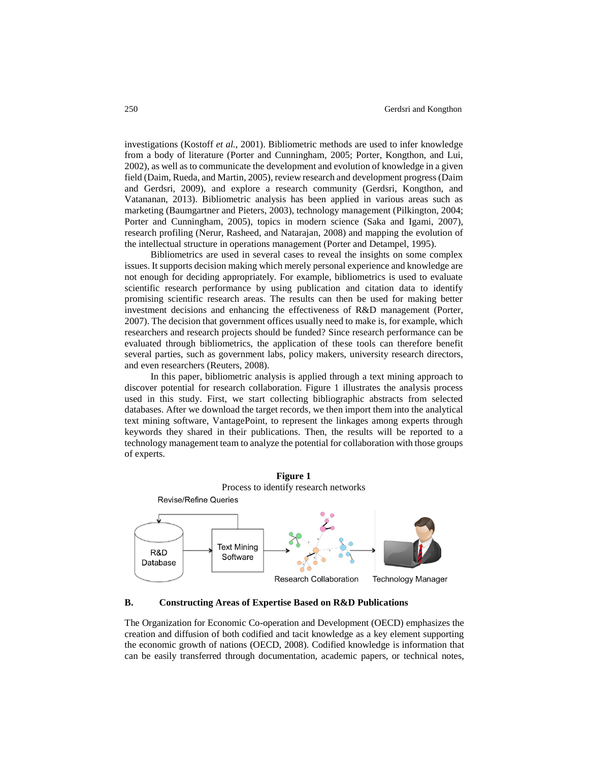investigations [\(Kostoff](#page-11-2) *et al.*, 2001). Bibliometric methods are used to infer knowledge from a body of literature [\(Porter and Cunningham,](#page-12-1) 2005; [Porter, Kongthon, and Lui,](#page-12-1) [2002\)](#page-12-1), as well as to communicate the development and evolution of knowledge in a given field [\(Daim, Rueda, and Martin,](#page-11-3) 2005), review research and development progress (Daim and Gerdsri, 2009), and explore a research community (Gerdsri, Kongthon, and Vatananan, 2013). Bibliometric analysis has been applied in various areas such as marketing (Baumgartner and Pieters, 2003), technology management [\(Pilkington,](#page-12-2) 2004; [Porter and Cunningham,](#page-12-1) 2005), topics in modern science [\(Saka and Igami,](#page-12-3) 2007), research profiling [\(Nerur, Rasheed, and Natarajan,](#page-12-4) 2008) and mapping the evolution of the intellectual structure in operations management [\(Porter and Detampel,](#page-12-5) 1995).

Bibliometrics are used in several cases to reveal the insights on some complex issues. It supports decision making which merely personal experience and knowledge are not enough for deciding appropriately. For example, bibliometrics is used to evaluate scientific research performance by using publication and citation data to identify promising scientific research areas. The results can then be used for making better investment decisions and enhancing the effectiveness of R&D management (Porter, 2007). The decision that government offices usually need to make is, for example, which researchers and research projects should be funded? Since research performance can be evaluated through bibliometrics, the application of these tools can therefore benefit several parties, such as government labs, policy makers, university research directors, and even researchers [\(Reuters,](#page-12-6) 2008).

In this paper, bibliometric analysis is applied through a text mining approach to discover potential for research collaboration. Figure 1 illustrates the analysis process used in this study. First, we start collecting bibliographic abstracts from selected databases. After we download the target records, we then import them into the analytical text mining software, VantagePoint, to represent the linkages among experts through keywords they shared in their publications. Then, the results will be reported to a technology management team to analyze the potential for collaboration with those groups of experts.





The Organization for Economic Co-operation and Development (OECD) emphasizes the creation and diffusion of both codified and tacit knowledge as a key element supporting the economic growth of nations (OECD, 2008). Codified knowledge is information that can be easily transferred through documentation, academic papers, or technical notes,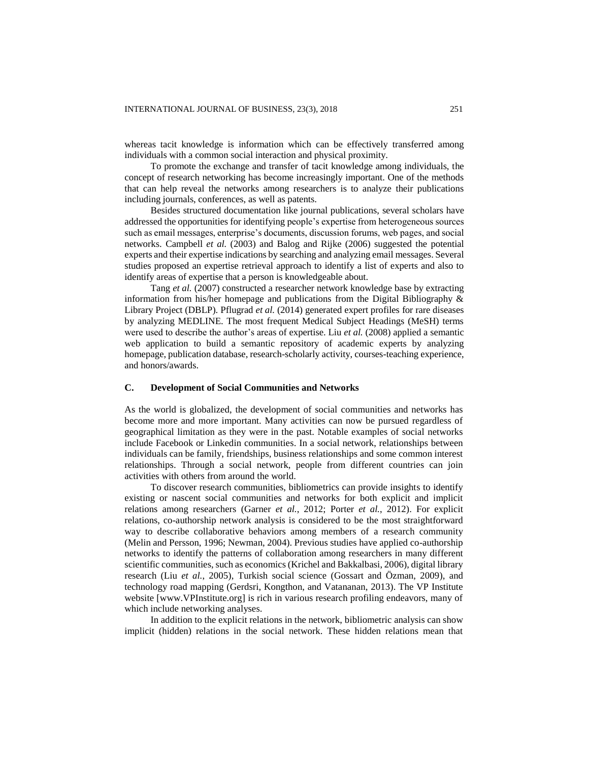whereas tacit knowledge is information which can be effectively transferred among individuals with a common social interaction and physical proximity.

To promote the exchange and transfer of tacit knowledge among individuals, the concept of research networking has become increasingly important. One of the methods that can help reveal the networks among researchers is to analyze their publications including journals, conferences, as well as patents.

Besides structured documentation like journal publications, several scholars have addressed the opportunities for identifying people's expertise from heterogeneous sources such as email messages, enterprise's documents, discussion forums, web pages, and social networks. Campbell *et al.* (2003) and Balog and Rijke (2006) suggested the potential experts and their expertise indications by searching and analyzing email messages. Several studies proposed an expertise retrieval approach to identify a list of experts and also to identify areas of expertise that a person is knowledgeable about.

Tang *et al.* (2007) constructed a researcher network knowledge base by extracting information from his/her homepage and publications from the Digital Bibliography & Library Project (DBLP). Pflugrad *et al.* (2014) generated expert profiles for rare diseases by analyzing MEDLINE. The most frequent Medical Subject Headings (MeSH) terms were used to describe the author's areas of expertise. Liu *et al.* (2008) applied a semantic web application to build a semantic repository of academic experts by analyzing homepage, publication database, research-scholarly activity, courses-teaching experience, and honors/awards.

#### **C. Development of Social Communities and Networks**

As the world is globalized, the development of social communities and networks has become more and more important. Many activities can now be pursued regardless of geographical limitation as they were in the past. Notable examples of social networks include Facebook or Linkedin communities. In a social network, relationships between individuals can be family, friendships, business relationships and some common interest relationships. Through a social network, people from different countries can join activities with others from around the world.

To discover research communities, bibliometrics can provide insights to identify existing or nascent social communities and networks for both explicit and implicit relations among researchers (Garner *et al.*, 2012; Porter *et al.*, 2012). For explicit relations, co-authorship network analysis is considered to be the most straightforward way to describe collaborative behaviors among members of a research community (Melin and Persson, 1996; Newman, 2004). Previous studies have applied co-authorship networks to identify the patterns of collaboration among researchers in many different scientific communities, such as economics (Krichel and Bakkalbasi, 2006), digital library research (Liu *et al.*, 2005), Turkish social science (Gossart and Özman, 2009), and technology road mapping (Gerdsri, Kongthon, and Vatananan, 2013). The VP Institute website [www.VPInstitute.org] is rich in various research profiling endeavors, many of which include networking analyses.

In addition to the explicit relations in the network, bibliometric analysis can show implicit (hidden) relations in the social network. These hidden relations mean that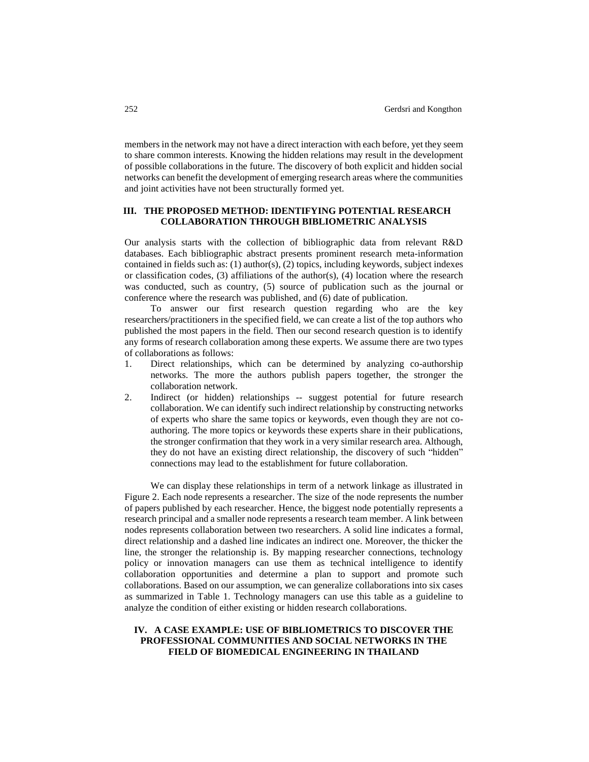members in the network may not have a direct interaction with each before, yet they seem to share common interests. Knowing the hidden relations may result in the development of possible collaborations in the future. The discovery of both explicit and hidden social networks can benefit the development of emerging research areas where the communities and joint activities have not been structurally formed yet.

# **III. THE PROPOSED METHOD: IDENTIFYING POTENTIAL RESEARCH COLLABORATION THROUGH BIBLIOMETRIC ANALYSIS**

Our analysis starts with the collection of bibliographic data from relevant R&D databases. Each bibliographic abstract presents prominent research meta-information contained in fields such as: (1) author(s), (2) topics, including keywords, subject indexes or classification codes, (3) affiliations of the author(s), (4) location where the research was conducted, such as country, (5) source of publication such as the journal or conference where the research was published, and (6) date of publication.

To answer our first research question regarding who are the key researchers/practitioners in the specified field, we can create a list of the top authors who published the most papers in the field. Then our second research question is to identify any forms of research collaboration among these experts. We assume there are two types of collaborations as follows:

- 1. Direct relationships, which can be determined by analyzing co-authorship networks. The more the authors publish papers together, the stronger the collaboration network.
- 2. Indirect (or hidden) relationships -- suggest potential for future research collaboration. We can identify such indirect relationship by constructing networks of experts who share the same topics or keywords, even though they are not coauthoring. The more topics or keywords these experts share in their publications, the stronger confirmation that they work in a very similar research area. Although, they do not have an existing direct relationship, the discovery of such "hidden" connections may lead to the establishment for future collaboration.

We can display these relationships in term of a network linkage as illustrated in Figure 2. Each node represents a researcher. The size of the node represents the number of papers published by each researcher. Hence, the biggest node potentially represents a research principal and a smaller node represents a research team member. A link between nodes represents collaboration between two researchers. A solid line indicates a formal, direct relationship and a dashed line indicates an indirect one. Moreover, the thicker the line, the stronger the relationship is. By mapping researcher connections, technology policy or innovation managers can use them as technical intelligence to identify collaboration opportunities and determine a plan to support and promote such collaborations. Based on our assumption, we can generalize collaborations into six cases as summarized in Table 1. Technology managers can use this table as a guideline to analyze the condition of either existing or hidden research collaborations.

# **IV. A CASE EXAMPLE: USE OF BIBLIOMETRICS TO DISCOVER THE PROFESSIONAL COMMUNITIES AND SOCIAL NETWORKS IN THE FIELD OF BIOMEDICAL ENGINEERING IN THAILAND**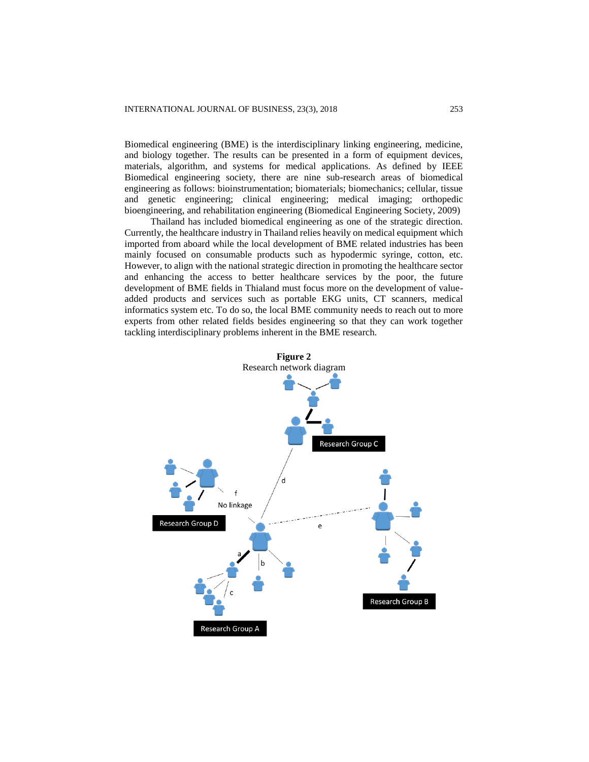Biomedical engineering (BME) is the interdisciplinary linking engineering, medicine, and biology together. The results can be presented in a form of equipment devices, materials, algorithm, and systems for medical applications. As defined by IEEE Biomedical engineering society, there are nine sub-research areas of biomedical engineering as follows: bioinstrumentation; biomaterials; biomechanics; cellular, tissue and genetic engineering; clinical engineering; medical imaging; orthopedic bioengineering, and rehabilitation engineering (Biomedical Engineering Society, 2009)

Thailand has included biomedical engineering as one of the strategic direction. Currently, the healthcare industry in Thailand relies heavily on medical equipment which imported from aboard while the local development of BME related industries has been mainly focused on consumable products such as hypodermic syringe, cotton, etc. However, to align with the national strategic direction in promoting the healthcare sector and enhancing the access to better healthcare services by the poor, the future development of BME fields in Thialand must focus more on the development of valueadded products and services such as portable EKG units, CT scanners, medical informatics system etc. To do so, the local BME community needs to reach out to more experts from other related fields besides engineering so that they can work together tackling interdisciplinary problems inherent in the BME research.

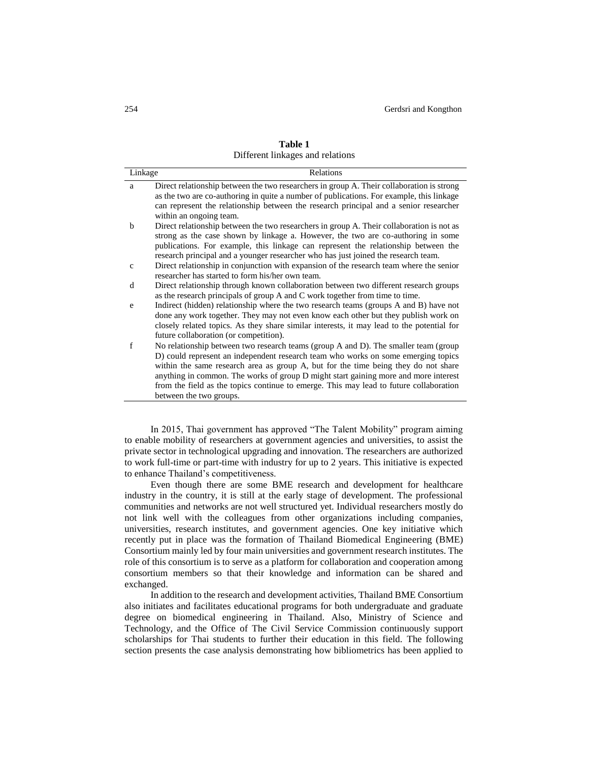| Linkage      | <b>Relations</b>                                                                          |
|--------------|-------------------------------------------------------------------------------------------|
| a            | Direct relationship between the two researchers in group A. Their collaboration is strong |
|              | as the two are co-authoring in quite a number of publications. For example, this linkage  |
|              | can represent the relationship between the research principal and a senior researcher     |
|              | within an ongoing team.                                                                   |
| $\mathbf b$  | Direct relationship between the two researchers in group A. Their collaboration is not as |
|              | strong as the case shown by linkage a. However, the two are co-authoring in some          |
|              | publications. For example, this linkage can represent the relationship between the        |
|              | research principal and a younger researcher who has just joined the research team.        |
| $\mathbf{c}$ | Direct relationship in conjunction with expansion of the research team where the senior   |
|              | researcher has started to form his/her own team.                                          |
| d            | Direct relationship through known collaboration between two different research groups     |
|              | as the research principals of group A and C work together from time to time.              |
| e            | Indirect (hidden) relationship where the two research teams (groups A and B) have not     |
|              | done any work together. They may not even know each other but they publish work on        |
|              | closely related topics. As they share similar interests, it may lead to the potential for |
|              | future collaboration (or competition).                                                    |
| $\mathbf f$  | No relationship between two research teams (group A and D). The smaller team (group       |
|              | D) could represent an independent research team who works on some emerging topics         |
|              | within the same research area as group A, but for the time being they do not share        |
|              | anything in common. The works of group D might start gaining more and more interest       |
|              | from the field as the topics continue to emerge. This may lead to future collaboration    |
|              | between the two groups.                                                                   |

| Table 1                          |  |
|----------------------------------|--|
| Different linkages and relations |  |

In 2015, Thai government has approved "The Talent Mobility" program aiming to enable mobility of researchers at government agencies and universities, to assist the private sector in technological upgrading and innovation. The researchers are authorized to work full-time or part-time with industry for up to 2 years. This initiative is expected to enhance Thailand's competitiveness.

Even though there are some BME research and development for healthcare industry in the country, it is still at the early stage of development. The professional communities and networks are not well structured yet. Individual researchers mostly do not link well with the colleagues from other organizations including companies, universities, research institutes, and government agencies. One key initiative which recently put in place was the formation of Thailand Biomedical Engineering (BME) Consortium mainly led by four main universities and government research institutes. The role of this consortium is to serve as a platform for collaboration and cooperation among consortium members so that their knowledge and information can be shared and exchanged.

In addition to the research and development activities, Thailand BME Consortium also initiates and facilitates educational programs for both undergraduate and graduate degree on biomedical engineering in Thailand. Also, Ministry of Science and Technology, and the Office of The Civil Service Commission continuously support scholarships for Thai students to further their education in this field. The following section presents the case analysis demonstrating how bibliometrics has been applied to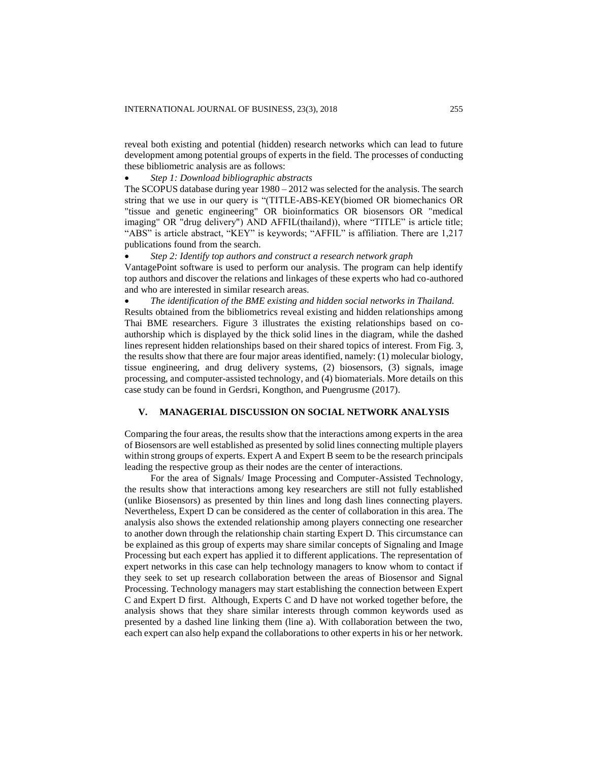reveal both existing and potential (hidden) research networks which can lead to future development among potential groups of experts in the field. The processes of conducting these bibliometric analysis are as follows:

### *Step 1: Download bibliographic abstracts*

The SCOPUS database during year  $1980 - 2012$  was selected for the analysis. The search string that we use in our query is "(TITLE-ABS-KEY(biomed OR biomechanics OR "tissue and genetic engineering" OR bioinformatics OR biosensors OR "medical imaging" OR "drug delivery") AND AFFIL(thailand)), where "TITLE" is article title; "ABS" is article abstract, "KEY" is keywords; "AFFIL" is affiliation. There are 1,217 publications found from the search.

*Step 2: Identify top authors and construct a research network graph*

VantagePoint software is used to perform our analysis. The program can help identify top authors and discover the relations and linkages of these experts who had co-authored and who are interested in similar research areas.

 *The identification of the BME existing and hidden social networks in Thailand.* Results obtained from the bibliometrics reveal existing and hidden relationships among

Thai BME researchers. Figure 3 illustrates the existing relationships based on coauthorship which is displayed by the thick solid lines in the diagram, while the dashed lines represent hidden relationships based on their shared topics of interest. From Fig. 3, the results show that there are four major areas identified, namely: (1) molecular biology, tissue engineering, and drug delivery systems, (2) biosensors, (3) signals, image processing, and computer-assisted technology, and (4) biomaterials. More details on this case study can be found in Gerdsri, Kongthon, and Puengrusme (2017).

## **V. MANAGERIAL DISCUSSION ON SOCIAL NETWORK ANALYSIS**

Comparing the four areas, the results show that the interactions among experts in the area of Biosensors are well established as presented by solid lines connecting multiple players within strong groups of experts. Expert A and Expert B seem to be the research principals leading the respective group as their nodes are the center of interactions.

For the area of Signals/ Image Processing and Computer-Assisted Technology, the results show that interactions among key researchers are still not fully established (unlike Biosensors) as presented by thin lines and long dash lines connecting players. Nevertheless, Expert D can be considered as the center of collaboration in this area. The analysis also shows the extended relationship among players connecting one researcher to another down through the relationship chain starting Expert D. This circumstance can be explained as this group of experts may share similar concepts of Signaling and Image Processing but each expert has applied it to different applications. The representation of expert networks in this case can help technology managers to know whom to contact if they seek to set up research collaboration between the areas of Biosensor and Signal Processing. Technology managers may start establishing the connection between Expert C and Expert D first. Although, Experts C and D have not worked together before, the analysis shows that they share similar interests through common keywords used as presented by a dashed line linking them (line a). With collaboration between the two, each expert can also help expand the collaborations to other experts in his or her network.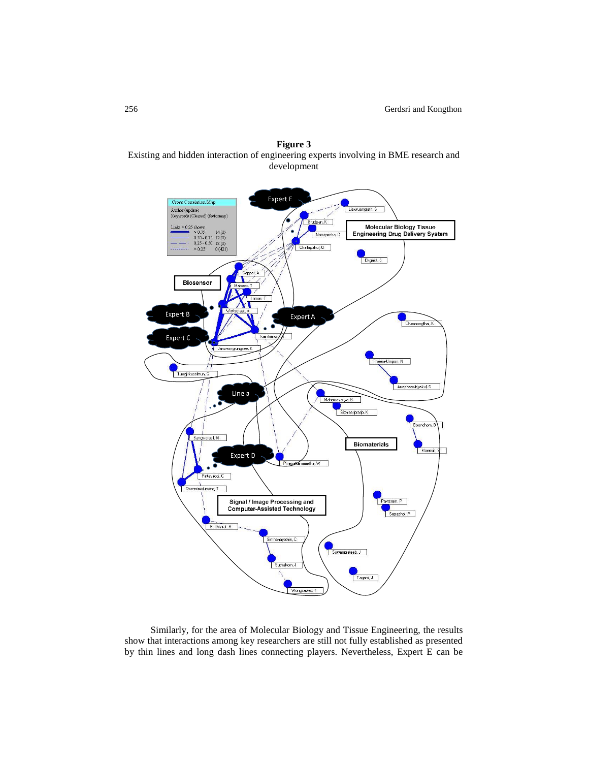



Similarly, for the area of Molecular Biology and Tissue Engineering, the results show that interactions among key researchers are still not fully established as presented by thin lines and long dash lines connecting players. Nevertheless, Expert E can be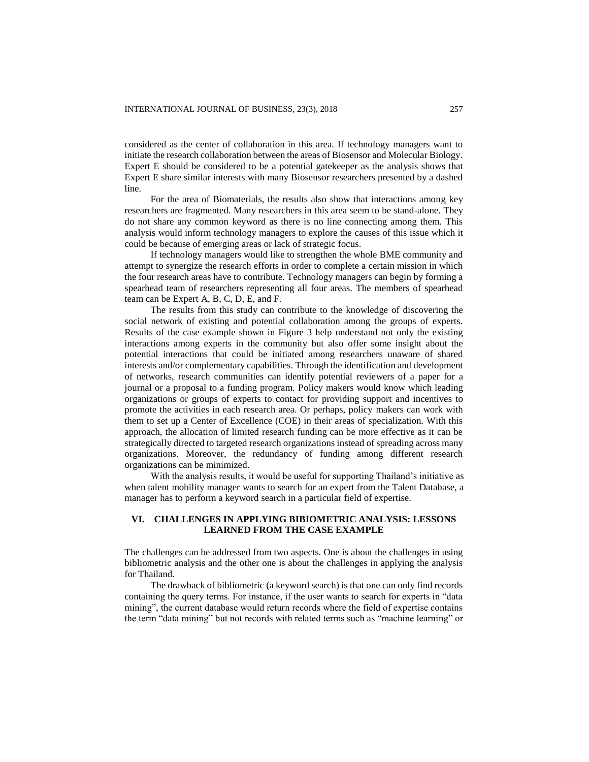considered as the center of collaboration in this area. If technology managers want to initiate the research collaboration between the areas of Biosensor and Molecular Biology. Expert E should be considered to be a potential gatekeeper as the analysis shows that Expert E share similar interests with many Biosensor researchers presented by a dashed line.

For the area of Biomaterials, the results also show that interactions among key researchers are fragmented. Many researchers in this area seem to be stand-alone. They do not share any common keyword as there is no line connecting among them. This analysis would inform technology managers to explore the causes of this issue which it could be because of emerging areas or lack of strategic focus.

If technology managers would like to strengthen the whole BME community and attempt to synergize the research efforts in order to complete a certain mission in which the four research areas have to contribute. Technology managers can begin by forming a spearhead team of researchers representing all four areas. The members of spearhead team can be Expert A, B, C, D, E, and F.

The results from this study can contribute to the knowledge of discovering the social network of existing and potential collaboration among the groups of experts. Results of the case example shown in Figure 3 help understand not only the existing interactions among experts in the community but also offer some insight about the potential interactions that could be initiated among researchers unaware of shared interests and/or complementary capabilities. Through the identification and development of networks, research communities can identify potential reviewers of a paper for a journal or a proposal to a funding program. Policy makers would know which leading organizations or groups of experts to contact for providing support and incentives to promote the activities in each research area. Or perhaps, policy makers can work with them to set up a Center of Excellence (COE) in their areas of specialization. With this approach, the allocation of limited research funding can be more effective as it can be strategically directed to targeted research organizations instead of spreading across many organizations. Moreover, the redundancy of funding among different research organizations can be minimized.

With the analysis results, it would be useful for supporting Thailand's initiative as when talent mobility manager wants to search for an expert from the Talent Database, a manager has to perform a keyword search in a particular field of expertise.

## **VI. CHALLENGES IN APPLYING BIBIOMETRIC ANALYSIS: LESSONS LEARNED FROM THE CASE EXAMPLE**

The challenges can be addressed from two aspects. One is about the challenges in using bibliometric analysis and the other one is about the challenges in applying the analysis for Thailand.

The drawback of bibliometric (a keyword search) is that one can only find records containing the query terms. For instance, if the user wants to search for experts in "data mining", the current database would return records where the field of expertise contains the term "data mining" but not records with related terms such as "machine learning" or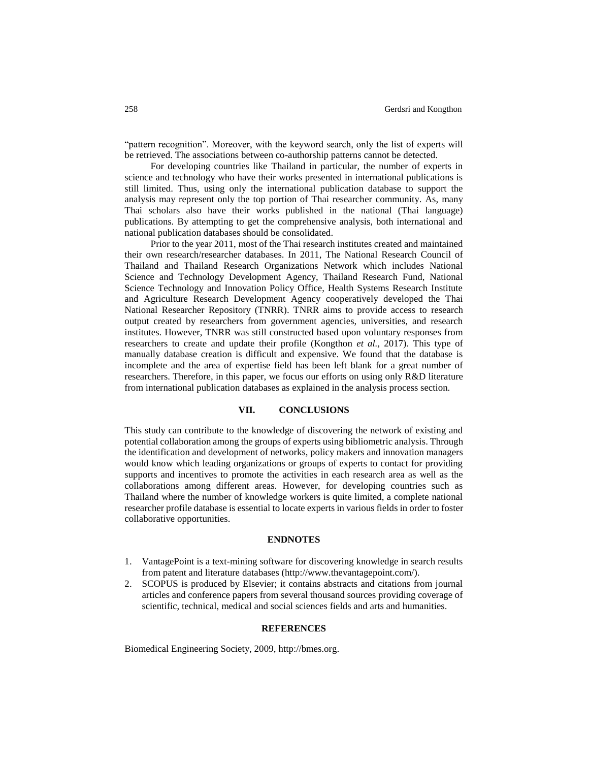"pattern recognition". Moreover, with the keyword search, only the list of experts will be retrieved. The associations between co-authorship patterns cannot be detected.

For developing countries like Thailand in particular, the number of experts in science and technology who have their works presented in international publications is still limited. Thus, using only the international publication database to support the analysis may represent only the top portion of Thai researcher community. As, many Thai scholars also have their works published in the national (Thai language) publications. By attempting to get the comprehensive analysis, both international and national publication databases should be consolidated.

Prior to the year 2011, most of the Thai research institutes created and maintained their own research/researcher databases. In 2011, The National Research Council of Thailand and Thailand Research Organizations Network which includes National Science and Technology Development Agency, Thailand Research Fund, National Science Technology and Innovation Policy Office, Health Systems Research Institute and Agriculture Research Development Agency cooperatively developed the Thai National Researcher Repository (TNRR). TNRR aims to provide access to research output created by researchers from government agencies, universities, and research institutes. However, TNRR was still constructed based upon voluntary responses from researchers to create and update their profile (Kongthon *et al.,* 2017). This type of manually database creation is difficult and expensive. We found that the database is incomplete and the area of expertise field has been left blank for a great number of researchers. Therefore, in this paper, we focus our efforts on using only R&D literature from international publication databases as explained in the analysis process section.

## **VII. CONCLUSIONS**

This study can contribute to the knowledge of discovering the network of existing and potential collaboration among the groups of experts using bibliometric analysis. Through the identification and development of networks, policy makers and innovation managers would know which leading organizations or groups of experts to contact for providing supports and incentives to promote the activities in each research area as well as the collaborations among different areas. However, for developing countries such as Thailand where the number of knowledge workers is quite limited, a complete national researcher profile database is essential to locate experts in various fields in order to foster collaborative opportunities.

#### **ENDNOTES**

- 1. VantagePoint is a text-mining software for discovering knowledge in search results from patent and literature databases (http://www.thevantagepoint.com/).
- 2. SCOPUS is produced by Elsevier; it contains abstracts and citations from journal articles and conference papers from several thousand sources providing coverage of scientific, technical, medical and social sciences fields and arts and humanities.

#### **REFERENCES**

Biomedical Engineering Society, 2009, http://bmes.org.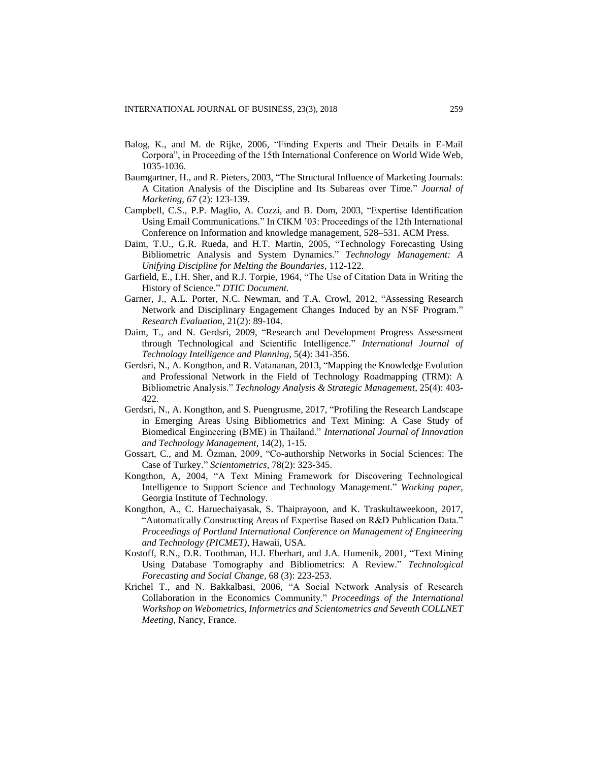- Balog, K., and M. de Rijke, 2006, "Finding Experts and Their Details in E-Mail Corpora", in Proceeding of the 15th International Conference on World Wide Web, 1035-1036.
- Baumgartner, H., and R. Pieters, 2003, "The Structural Influence of Marketing Journals: A Citation Analysis of the Discipline and Its Subareas over Time." *Journal of Marketing, 67* (2): 123-139.
- <span id="page-11-3"></span>Campbell, C.S., P.P. Maglio, A. Cozzi, and B. Dom, 2003, "Expertise Identification Using Email Communications." In CIKM '03: Proceedings of the 12th International Conference on Information and knowledge management, 528–531. ACM Press.
- Daim, T.U., G.R. Rueda, and H.T. Martin, 2005, "Technology Forecasting Using Bibliometric Analysis and System Dynamics." *Technology Management: A Unifying Discipline for Melting the Boundaries*, 112-122.
- <span id="page-11-0"></span>Garfield, E., I.H. Sher, and R.J. Torpie, 1964, "The Use of Citation Data in Writing the History of Science." *DTIC Document*.
- <span id="page-11-1"></span>Garner, J., A.L. Porter, N.C. Newman, and T.A. Crowl, 2012, "Assessing Research Network and Disciplinary Engagement Changes Induced by an NSF Program." *Research Evaluation*, 21(2): 89-104.
- Daim, T., and N. Gerdsri, 2009, "Research and Development Progress Assessment through Technological and Scientific Intelligence." *International Journal of Technology Intelligence and Planning*, 5(4): 341-356.
- Gerdsri, N., A. Kongthon, and R. Vatananan, 2013, "Mapping the Knowledge Evolution and Professional Network in the Field of Technology Roadmapping (TRM): A Bibliometric Analysis." *Technology Analysis & Strategic Management*, 25(4): 403- 422.
- Gerdsri, N., A. Kongthon, and S. Puengrusme, 2017, "Profiling the Research Landscape in Emerging Areas Using Bibliometrics and Text Mining: A Case Study of Biomedical Engineering (BME) in Thailand." *International Journal of Innovation and Technology Management*, 14(2), 1-15.
- Gossart, C., and M. Özman, 2009, "Co-authorship Networks in Social Sciences: The Case of Turkey." *Scientometrics,* 78(2): 323-345.
- Kongthon, A, 2004, "A Text Mining Framework for Discovering Technological Intelligence to Support Science and Technology Management." *Working paper*, Georgia Institute of Technology.
- <span id="page-11-2"></span>Kongthon, A., C. Haruechaiyasak, S. Thaiprayoon, and K. Traskultaweekoon, 2017, "Automatically Constructing Areas of Expertise Based on R&D Publication Data." *Proceedings of Portland International Conference on Management of Engineering and Technology (PICMET)*, Hawaii, USA.
- Kostoff, R.N., D.R. Toothman, H.J. Eberhart, and J.A. Humenik, 2001, "Text Mining Using Database Tomography and Bibliometrics: A Review." *Technological Forecasting and Social Change,* 68 (3): 223-253.
- Krichel T., and N. Bakkalbasi, 2006, "A Social Network Analysis of Research Collaboration in the Economics Community." *Proceedings of the International Workshop on Webometrics, Informetrics and Scientometrics and Seventh COLLNET Meeting*, Nancy, France.